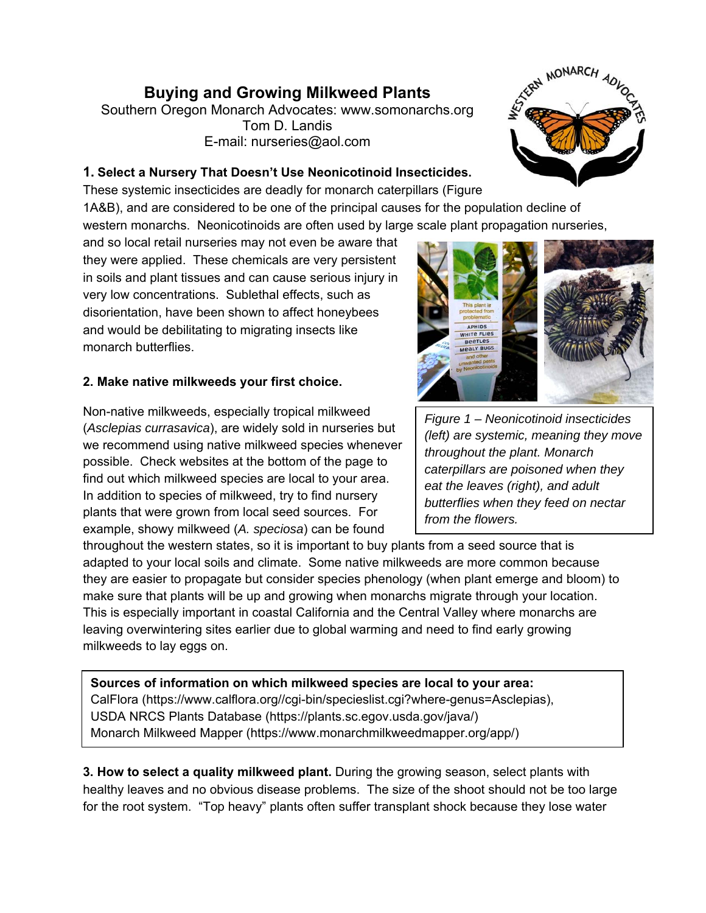## **Buying and Growing Milkweed Plants**

Southern Oregon Monarch Advocates: www.somonarchs.org Tom D. Landis E-mail: nurseries@aol.com

## **1. Select a Nursery That Doesn't Use Neonicotinoid Insecticides.**

These systemic insecticides are deadly for monarch caterpillars (Figure 1A&B), and are considered to be one of the principal causes for the population decline of western monarchs. Neonicotinoids are often used by large scale plant propagation nurseries,

and so local retail nurseries may not even be aware that they were applied. These chemicals are very persistent in soils and plant tissues and can cause serious injury in very low concentrations. Sublethal effects, such as disorientation, have been shown to affect honeybees and would be debilitating to migrating insects like monarch butterflies.

## **2. Make native milkweeds your first choice.**

Non-native milkweeds, especially tropical milkweed (*Asclepias currasavica*), are widely sold in nurseries but we recommend using native milkweed species whenever possible. Check websites at the bottom of the page to find out which milkweed species are local to your area. In addition to species of milkweed, try to find nursery plants that were grown from local seed sources. For example, showy milkweed (*A. speciosa*) can be found

throughout the western states, so it is important to buy plants from a seed source that is adapted to your local soils and climate. Some native milkweeds are more common because they are easier to propagate but consider species phenology (when plant emerge and bloom) to make sure that plants will be up and growing when monarchs migrate through your location. This is especially important in coastal California and the Central Valley where monarchs are leaving overwintering sites earlier due to global warming and need to find early growing milkweeds to lay eggs on.

**Sources of information on which milkweed species are local to your area:**  CalFlora (https://www.calflora.org//cgi-bin/specieslist.cgi?where-genus=Asclepias), USDA NRCS Plants Database (https://plants.sc.egov.usda.gov/java/) Monarch Milkweed Mapper (https://www.monarchmilkweedmapper.org/app/)

**3. How to select a quality milkweed plant.** During the growing season, select plants with healthy leaves and no obvious disease problems. The size of the shoot should not be too large for the root system. "Top heavy" plants often suffer transplant shock because they lose water



*throughout the plant. Monarch* 

*from the flowers.*

*caterpillars are poisoned when they eat the leaves (right), and adult butterflies when they feed on nectar*